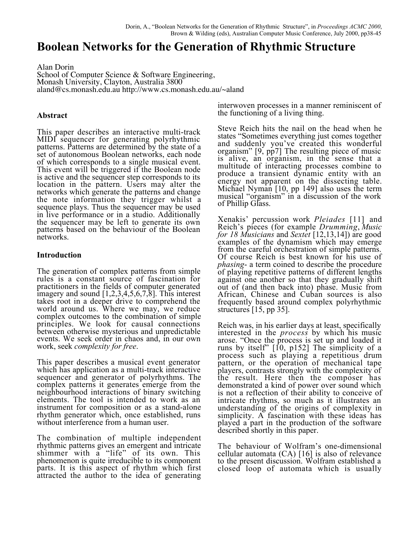# **Boolean Networks for the Generation of Rhythmic Structure**

Alan Dorin School of Computer Science & Software Engineering, Monash University, Clayton, Australia 3800 aland@cs.monash.edu.au http://www.cs.monash.edu.au/~aland

## **Abstract**

This paper describes an interactive multi-track MIDI sequencer for generating polyrhythmic patterns. Patterns are determined by the state of a set of autonomous Boolean networks, each node of which corresponds to a single musical event. This event will be triggered if the Boolean node is active and the sequencer step corresponds to its location in the pattern. Users may alter the networks which generate the patterns and change the note information they trigger whilst a sequence plays. Thus the sequencer may be used in live performance or in a studio. Additionally the sequencer may be left to generate its own patterns based on the behaviour of the Boolean networks.

# **Introduction**

The generation of complex patterns from simple rules is a constant source of fascination for practitioners in the fields of computer generated imagery and sound [1,2,3,4,5,6,7,8]. This interest takes root in a deeper drive to comprehend the world around us. Where we may, we reduce complex outcomes to the combination of simple principles. We look for causal connections between otherwise mysterious and unpredictable events. We seek order in chaos and, in our own work, seek *complexity for free*.

This paper describes a musical event generator which has application as a multi-track interactive sequencer and generator of polyrhythms. The complex patterns it generates emerge from the neighbourhood interactions of binary switching elements. The tool is intended to work as an instrument for composition or as a stand-alone rhythm generator which, once established, runs without interference from a human user.

The combination of multiple independent rhythmic patterns gives an emergent and intricate shimmer with a "life" of its own. This phenomenon is quite irreducible to its component parts. It is this aspect of rhythm which first attracted the author to the idea of generating

interwoven processes in a manner reminiscent of the functioning of a living thing.

Steve Reich hits the nail on the head when he states "Sometimes everything just comes together and suddenly you've created this wonderful organism" [9, pp7] The resulting piece of music is alive, an organism, in the sense that a multitude of interacting processes combine to produce a transient dynamic entity with an energy not apparent on the dissecting table. Michael Nyman [10, pp 149] also uses the term musical "organism" in a discussion of the work of Phillip Glass.

Xenakis' percussion work *Pleiades* [11] and Reich's pieces (for example *Drumming*, *Music for 18 Musicians* and *Sextet* [12,13,14]) are good examples of the dynamism which may emerge from the careful orchestration of simple patterns. Of course Reich is best known for his use of *phasing*- a term coined to describe the procedure of playing repetitive patterns of different lengths against one another so that they gradually shift out of (and then back into) phase. Music from African, Chinese and Cuban sources is also frequently based around complex polyrhythmic structures [15, pp 35].

Reich was, in his earlier days at least, specifically interested in the *process* by which his music arose. "Once the process is set up and loaded it runs by itself" [10, p152] The simplicity of a process such as playing a repetitious drum pattern, or the operation of mechanical tape players, contrasts strongly with the complexity of the result. Here then the composer has demonstrated a kind of power over sound which is not a reflection of their ability to conceive of intricate rhythms, so much as it illustrates an understanding of the origins of complexity in simplicity. A fascination with these ideas has played a part in the production of the software described shortly in this paper.

The behaviour of Wolfram's one-dimensional cellular automata (CA) [16] is also of relevance to the present discussion. Wolfram established a closed loop of automata which is usually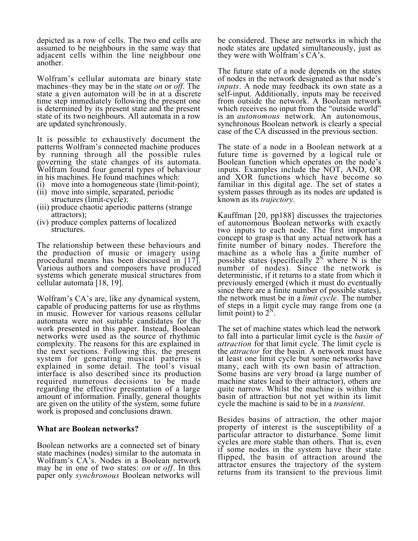depicted as a row of cells. The two end cells are assumed to be neighbours in the same way that adjacent cells within the line neighbour one another.

Wolfram's cellular automata are binary state machines–they may be in the state *on* or *off*. The state a given automaton will be in at a discrete time step immediately following the present one is determined by its present state and the present state of its two neighbours. All automata in a row are updated synchronously.

It is possible to exhaustively document the patterns Wolfram's connected machine produces by running through all the possible rules governing the state changes of its automata. Wolfram found four general types of behaviour in his machines. He found machines which:

- (i) move into a homogeneous state (limit-point);
- (ii) move into simple, separated, periodic structures (limit-cycle);
- (iii) produce chaotic aperiodic patterns (strange attractors);
- (iv) produce complex patterns of localized structures.

The relationship between these behaviours and the production of music or imagery using procedural means has been discussed in [17]. Various authors and composers have produced systems which generate musical structures from cellular automata [18, 19].

Wolfram's CA's are, like any dynamical system, capable of producing patterns for use as rhythms in music. However for various reasons cellular automata were not suitable candidates for the work presented in this paper. Instead, Boolean networks were used as the source of rhythmic complexity. The reasons for this are explained in the next sections. Following this, the present system for generating musical patterns is explained in some detail. The tool's visual interface is also described since its production required numerous decisions to be made regarding the effective presentation of a large amount of information. Finally, general thoughts are given on the utility of the system, some future work is proposed and conclusions drawn.

## **What are Boolean networks?**

Boolean networks are a connected set of binary state machines (nodes) similar to the automata in Wolfram's CA's. Nodes in a Boolean network may be in one of two states: *on* or *off*. In this paper only *synchronous* Boolean networks will

be considered. These are networks in which the node states are updated simultaneously, just as they were with Wolfram's CA's.

The future state of a node depends on the states of nodes in the network designated as that node's *inputs*. A node may feedback its own state as a self-input. Additionally, inputs may be received from outside the network. A Boolean network which receives no input from the "outside world" is an *autonomous* network. An autonomous, synchronous Boolean network is clearly a special case of the CA discussed in the previous section.

The state of a node in a Boolean network at a future time is governed by a logical rule or Boolean function which operates on the node's inputs. Examples include the NOT, AND, OR and XOR functions which have become so familiar in this digital age. The set of states a system passes through as its nodes are updated is known as its *trajectory*.

Kauffman [20, pp188] discusses the trajectories of autonomous Boolean networks with exactly two inputs to each node. The first important concept to grasp is that any actual network has a finite number of binary nodes. Therefore the machine as a whole has a finite number of possible states (specifically  $2^N$  where N is the number of nodes). Since the network is deterministic, if it returns to a state from which it previously emerged (which it must do eventually since there are a finite number of possible states), the network must be in a *limit cycle*. The number of steps in a limit cycle may range from one (a limit point) to  $2^N$ .

The set of machine states which lead the network to fall into a particular limit cycle is the *basin of attraction* for that limit cycle. The limit cycle is the *attractor* for the basin. A network must have at least one limit cycle but some networks have many, each with its own basin of attraction. Some basins are very broad (a large number of machine states lead to their attractor), others are quite narrow. Whilst the machine is within the basin of attraction but not yet within its limit cycle the machine is said to be in a *transient*.

Besides basins of attraction, the other major property of interest is the susceptibility of a particular attractor to disturbance. Some limit cycles are more stable than others. That is, even if some nodes in the system have their state flipped, the basin of attraction around the attractor ensures the trajectory of the system returns from its transient to the previous limit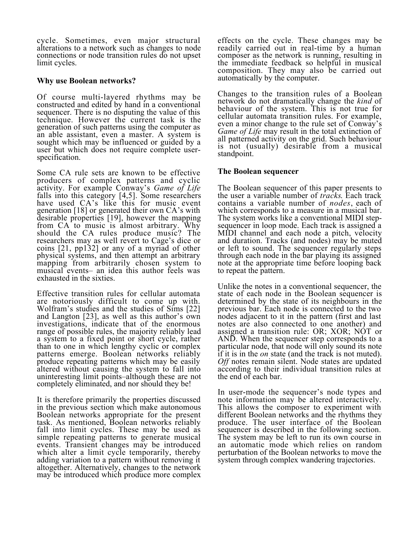cycle. Sometimes, even major structural alterations to a network such as changes to node connections or node transition rules do not upset limit cycles.

# **Why use Boolean networks?**

Of course multi-layered rhythms may be constructed and edited by hand in a conventional sequencer. There is no disputing the value of this technique. However the current task is the generation of such patterns using the computer as an able assistant, even a master. A system is sought which may be influenced or guided by a user but which does not require complete userspecification.

Some CA rule sets are known to be effective producers of complex patterns and cyclic activity. For example Conway's *Game of Life* falls into this category [4,5]. Some researchers have used CA's like this for music event generation [18] or generated their own CA's with desirable properties [19], however the mapping from CA to music is almost arbitrary. Why should the CA rules produce music? The researchers may as well revert to Cage's dice or coins [21, pp132] or any of a myriad of other physical systems, and then attempt an arbitrary mapping from arbitrarily chosen system to musical events– an idea this author feels was exhausted in the sixties.

Effective transition rules for cellular automata are notoriously difficult to come up with. Wolfram's studies and the studies of Sims [22] and Langton [23], as well as this author's own investigations, indicate that of the enormous range of possible rules, the majority reliably lead a system to a fixed point or short cycle, rather than to one in which lengthy cyclic or complex patterns emerge. Boolean networks reliably produce repeating patterns which may be easily altered without causing the system to fall into uninteresting limit points–although these are not completely eliminated, and nor should they be!

It is therefore primarily the properties discussed in the previous section which make autonomous Boolean networks appropriate for the present task. As mentioned, Boolean networks reliably fall into limit cycles. These may be used as simple repeating patterns to generate musical events. Transient changes may be introduced which alter a limit cycle temporarily, thereby adding variation to a pattern without removing it altogether. Alternatively, changes to the network may be introduced which produce more complex effects on the cycle. These changes may be readily carried out in real-time by a human composer as the network is running, resulting in the immediate feedback so helpful in musical composition. They may also be carried out automatically by the computer.

Changes to the transition rules of a Boolean network do not dramatically change the *kind* of behaviour of the system. This is not true for cellular automata transition rules. For example, even a minor change to the rule set of Conway's *Game of Life* may result in the total extinction of all patterned activity on the grid. Such behaviour is not (usually) desirable from a musical standpoint.

# **The Boolean sequencer**

The Boolean sequencer of this paper presents to the user a variable number of *tracks*. Each track contains a variable number of *nodes*, each of which corresponds to a measure in a musical bar. The system works like a conventional MIDI stepsequencer in loop mode. Each track is assigned a MIDI channel and each node a pitch, velocity and duration. Tracks (and nodes) may be muted or left to sound. The sequencer regularly steps through each node in the bar playing its assigned note at the appropriate time before looping back to repeat the pattern.

Unlike the notes in a conventional sequencer, the state of each node in the Boolean sequencer is determined by the state of its neighbours in the previous bar. Each node is connected to the two nodes adjacent to it in the pattern (first and last notes are also connected to one another) and assigned a transition rule: OR; XOR; NOT or AND. When the sequencer step corresponds to a particular node, that node will only sound its note if it is in the *on* state (and the track is not muted). *Off* notes remain silent. Node states are updated according to their individual transition rules at the end of each bar.

In user-mode the sequencer's node types and note information may be altered interactively. This allows the composer to experiment with different Boolean networks and the rhythms they produce. The user interface of the Boolean sequencer is described in the following section. The system may be left to run its own course in an automatic mode which relies on random perturbation of the Boolean networks to move the system through complex wandering trajectories.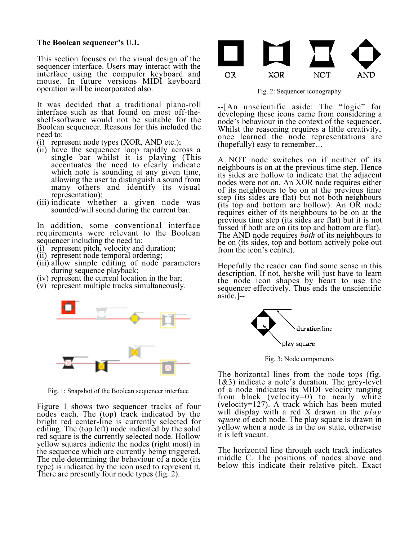#### **The Boolean sequencer's U.I.**

This section focuses on the visual design of the sequencer interface. Users may interact with the interface using the computer keyboard and mouse. In future versions MIDI keyboard operation will be incorporated also.

It was decided that a traditional piano-roll interface such as that found on most off-theshelf-software would not be suitable for the Boolean sequencer. Reasons for this included the need to:

- (i) represent node types (XOR, AND etc.);
- (ii) have the sequencer loop rapidly across a single bar whilst it is playing (This accentuates the need to clearly indicate which note is sounding at any given time, allowing the user to distinguish a sound from many others and identify its visual representation);
- (iii) indicate whether a given node was sounded/will sound during the current bar.

In addition, some conventional interface requirements were relevant to the Boolean sequencer including the need to:

- (i) represent pitch, velocity and duration;
- (ii) represent node temporal ordering;
- (iii) allow simple editing of node parameters during sequence playback;
- (iv) represent the current location in the bar;
- (v) represent multiple tracks simultaneously.



Fig. 1: Snapshot of the Boolean sequencer interface

Figure 1 shows two sequencer tracks of four nodes each. The (top) track indicated by the bright red center-line is currently selected for editing. The (top left) node indicated by the solid red square is the currently selected node. Hollow yellow squares indicate the nodes (right most) in the sequence which are currently being triggered. The rule determining the behaviour of a node (its type) is indicated by the icon used to represent it. There are presently four node types (fig. 2).



Fig. 2: Sequencer iconography

--[An unscientific aside: The "logic" for developing these icons came from considering a node's behaviour in the context of the sequencer. Whilst the reasoning requires a little creativity, once learned the node representations are (hopefully) easy to remember…

A NOT node switches on if neither of its neighbours is on at the previous time step. Hence its sides are hollow to indicate that the adjacent nodes were not on. An XOR node requires either of its neighbours to be on at the previous time step (its sides are flat) but not both neighbours (its top and bottom are hollow). An OR node requires either of its neighbours to be on at the previous time step (its sides are flat) but it is not fussed if both are on (its top and bottom are flat). The AND node requires *both* of its neighbours to be on (its sides, top and bottom actively poke out from the icon's centre).

Hopefully the reader can find some sense in this description. If not, he/she will just have to learn the node icon shapes by heart to use the sequencer effectively. Thus ends the unscientific aside.]--



Fig. 3: Node components

The horizontal lines from the node tops (fig. 1&3) indicate a note's duration. The grey-level of a node indicates its MIDI velocity ranging from black (velocity=0) to nearly white (velocity=127). A track which has been muted will display with a red X drawn in the *play square* of each node. The play square is drawn in yellow when a node is in the *on* state, otherwise it is left vacant.

The horizontal line through each track indicates middle C. The positions of nodes above and below this indicate their relative pitch. Exact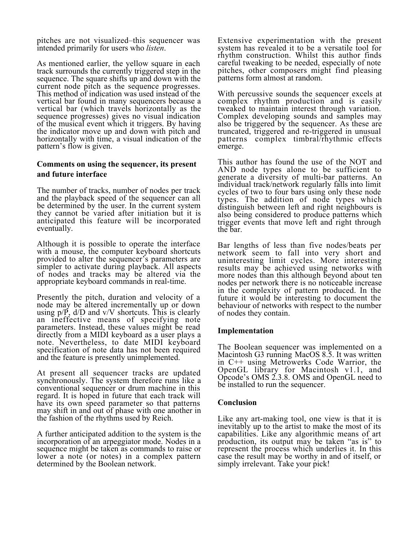pitches are not visualized–this sequencer was intended primarily for users who *listen*.

As mentioned earlier, the yellow square in each track surrounds the currently triggered step in the sequence. The square shifts up and down with the current node pitch as the sequence progresses. This method of indication was used instead of the vertical bar found in many sequencers because a vertical bar (which travels horizontally as the sequence progresses) gives no visual indication of the musical event which it triggers. By having the indicator move up and down with pitch and horizontally with time, a visual indication of the pattern's flow is given.

# **Comments on using the sequencer, its present and future interface**

The number of tracks, number of nodes per track and the playback speed of the sequencer can all be determined by the user. In the current system they cannot be varied after initiation but it is anticipated this feature will be incorporated eventually.

Although it is possible to operate the interface with a mouse, the computer keyboard shortcuts provided to alter the sequencer's parameters are simpler to activate during playback. All aspects of nodes and tracks may be altered via the appropriate keyboard commands in real-time.

Presently the pitch, duration and velocity of a node may be altered incrementally up or down using  $p/P$ ,  $d/D$  and  $v/V$  shortcuts. This is clearly an ineffective means of specifying note parameters. Instead, these values might be read directly from a MIDI keyboard as a user plays a note. Nevertheless, to date MIDI keyboard specification of note data has not been required and the feature is presently unimplemented.

At present all sequencer tracks are updated synchronously. The system therefore runs like a conventional sequencer or drum machine in this regard. It is hoped in future that each track will have its own speed parameter so that patterns may shift in and out of phase with one another in the fashion of the rhythms used by Reich.

A further anticipated addition to the system is the incorporation of an arpeggiator mode. Nodes in a sequence might be taken as commands to raise or lower a note (or notes) in a complex pattern determined by the Boolean network.

Extensive experimentation with the present system has revealed it to be a versatile tool for rhythm construction. Whilst this author finds careful tweaking to be needed, especially of note pitches, other composers might find pleasing patterns form almost at random.

With percussive sounds the sequencer excels at complex rhythm production and is easily tweaked to maintain interest through variation. Complex developing sounds and samples may also be triggered by the sequencer. As these are truncated, triggered and re-triggered in unusual patterns complex timbral/rhythmic effects emerge.

This author has found the use of the NOT and AND node types alone to be sufficient to generate a diversity of multi-bar patterns. An individual track/network regularly falls into limit cycles of two to four bars using only these node types. The addition of node types which distinguish between left and right neighbours is also being considered to produce patterns which trigger events that move left and right through the bar.

Bar lengths of less than five nodes/beats per network seem to fall into very short and uninteresting limit cycles. More interesting results may be achieved using networks with more nodes than this although beyond about ten nodes per network there is no noticeable increase in the complexity of pattern produced. In the future it would be interesting to document the behaviour of networks with respect to the number of nodes they contain.

## **Implementation**

The Boolean sequencer was implemented on a Macintosh G3 running MacOS 8.5. It was written in C++ using Metrowerks Code Warrior, the OpenGL library for Macintosh v1.1, and Opcode's OMS 2.3.8. OMS and OpenGL need to be installed to run the sequencer.

## **Conclusion**

Like any art-making tool, one view is that it is inevitably up to the artist to make the most of its capabilities. Like any algorithmic means of art production, its output may be taken "as is" to represent the process which underlies it. In this case the result may be worthy in and of itself, or simply irrelevant. Take your pick!